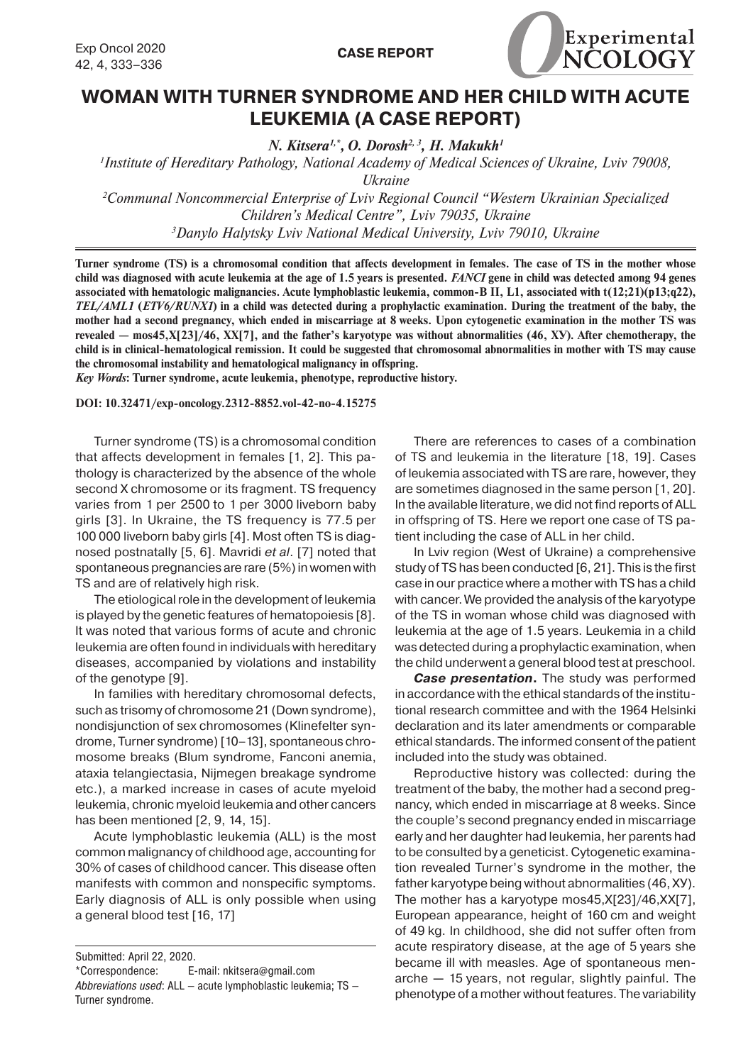

## **WOMAN WITH TURNER SYNDROME AND HER CHILD WITH ACUTE LEUKEMIA (A CASE REPORT)**

*N. Kitsera1,\*, O. Dorosh2, 3, H. Makukh1*

*1 Institute of Hereditary Pathology, National Academy of Medical Sciences of Ukraine, Lviv 79008, Ukraine*

*2 Сommunal Noncommercial Enterprise of Lviv Regional Council "Western Ukrainian Specialized Children's Medical Centre", Lviv 79035, Ukraine 3 Danylo Halytsky Lviv National Medical University, Lviv 79010, Ukraine*

**Turner syndrome (TS) is a chromosomal condition that affects development in females. The case of TS in the mother whose child was diagnosed with acute leukemia at the age of 1.5 years is presented.** *FANCI* **gene in child was detected among 94 genes associated with hematologic malignancies. Acute lymphoblastic leukemia, common-B ІІ, L1, associated with t(12;21)(p13;q22),**  *TEL/AML1* **(***ETV6/RUNX1***) in a child was detected during a prophylactic examination. During the treatment of the baby, the mother had a second pregnancy, which ended in miscarriage at 8 weeks. Upon cytogenetic examination in the mother TS was revealed — mos45,Х[23]/46, ХХ[7], and the father's karyotype was without abnormalities (46, ХУ). After chemotherapy, the child is in clinical-hematological remission. It could be suggested that chromosomal abnormalities in mother with TS may cause the chromosomal instability and hematological malignancy in offspring.**

*Key Words***: Turner syndrome, acute leukemia, phenotype, reproductive history.**

**DOI: 10.32471/exp-oncology.2312-8852.vol-42-no-4.15275**

Turner syndrome (TS) is a chromosomal condition that affects development in females [1, 2]. This pathology is characterized by the absence of the whole second X chromosome or its fragment. TS frequency varies from 1 per 2500 to 1 per 3000 liveborn baby girls [3]. In Ukraine, the TS frequency is 77.5 per 100 000 liveborn baby girls [4]. Most often TS is diagnosed postnatally [5, 6]. Mavridi *et al*. [7] noted that spontaneous pregnancies are rare (5%) in women with TS and are of relatively high risk.

The etiological role in the development of leukemia is played by the genetic features of hematopoiesis [8]. It was noted that various forms of acute and chronic leukemia are often found in individuals with hereditary diseases, accompanied by violations and instability of the genotype [9].

In families with hereditary chromosomal defects, such as trisomy of chromosome 21 (Down syndrome), nondisjunction of sex chromosomes (Klinefelter syndrome, Turner syndrome) [10–13], spontaneous chromosome breaks (Blum syndrome, Fanconi anemia, ataxia telangiectasia, Nijmegen breakage syndrome etc.), a marked increase in cases of acute myeloid leukemia, chronic myeloid leukemia and other cancers has been mentioned [2, 9, 14, 15].

Acute lymphoblastic leukemia (ALL) is the most common malignancy of childhood age, accounting for 30% of cases of childhood cancer. This disease often manifests with common and nonspecific symptoms. Early diagnosis of ALL is only possible when using a general blood test [16, 17]

There are references to cases of a combination of TS and leukemia in the literature [18, 19]. Cases of leukemia associated with TS are rare, however, they are sometimes diagnosed in the same person [1, 20]. In the available literature, we did not find reports of ALL in offspring of TS. Here we report one case of TS patient including the case of ALL in her child.

In Lviv region (West of Ukraine) a comprehensive study of TS has been conducted [6, 21]. This is the first case in our practice where a mother with TS has a child with cancer. We provided the analysis of the karyotype of the TS in woman whose child was diagnosed with leukemia at the age of 1.5 years. Leukemia in a child was detected during a prophylactic examination, when the child underwent a general blood test at preschool.

*Case presentation***.** The study was performed in accordance with the ethical standards of the institutional research committee and with the 1964 Helsinki declaration and its later amendments or comparable ethical standards. The informed consent of the patient included into the study was obtained.

Reproductive history was collected: during the treatment of the baby, the mother had a second pregnancy, which ended in miscarriage at 8 weeks. Since the couple's second pregnancy ended in miscarriage early and her daughter had leukemia, her parents had to be consulted by a geneticist. Cytogenetic examination revealed Turner's syndrome in the mother, the father karyotype being without abnormalities (46, ХУ). The mother has a karyotype mos45,Х[23]/46,ХХ[7], European appearance, height of 160 cm and weight of 49 kg. In childhood, she did not suffer often from acute respiratory disease, at the age of 5 years she became ill with measles. Аge of spontaneous menarche **—** 15 years, not regular, slightly painful. The phenotype of a mother without features. The variability

Submitted: April 22, 2020.

<sup>\*</sup>Correspondence: E-mail: nkitsera@gmail.com

*Abbreviations used*: ALL — acute lymphoblastic leukemia; TS — Turner syndrome.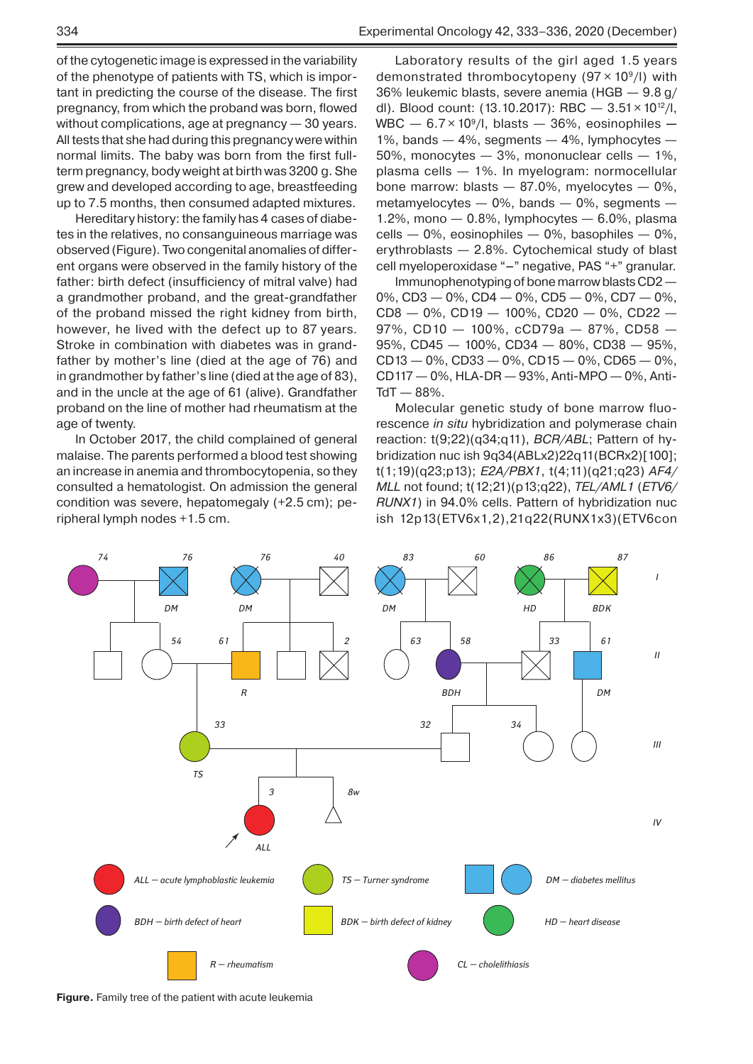Hereditary history: the family has 4 cases of diabetes in the relatives, no consanguineous marriage was observed (Figure). Two congenital anomalies of different organs were observed in the family history of the father: birth defect (insufficiency of mitral valve) had a grandmother proband, and the great-grandfather of the proband missed the right kidney from birth, however, he lived with the defect up to 87 years. Stroke in combination with diabetes was in grandfather by mother's line (died at the age of 76) and in grandmother by father's line (died at the age of 83), and in the uncle at the age of 61 (alive). Grandfather proband on the line of mother had rheumatism at the age of twenty.

In October 2017, the child complained of general malaise. The parents performed a blood test showing an increase in anemia and thrombocytopenia, so they consulted a hematologist. On admission the general condition was severe, hepatomegaly (+2.5 cm); peripheral lymph nodes +1.5 cm.

Laboratory results of the girl aged 1.5 years demonstrated thrombocytopeny  $(97 \times 10^9/l)$  with 36% leukemic blasts, severe anemia (HGB — 9.8 g/ dl). Blood count: (13.10.2017): RBC  $-$  3.51  $\times$  10<sup>12</sup>/l, WBC — 6.7 × 109/l, blasts — 36%, еosinophiles **—**  1%, bands — 4%, segments — 4%, lymphocytes — 50%, monocytes — 3%, mononuclear cells — 1%, plasma cells — 1%. In myelogram: normocellular bone marrow: blasts  $-87.0\%$ , myelocytes  $-0\%$ , metamyelocytes  $-$  0%, bands  $-$  0%, segments  $-$ 1.2%, mono  $-$  0.8%, lymphocytes  $-$  6.0%, plasma  $cells - 0\%$ , eosinophiles  $- 0\%$ , basophiles  $- 0\%$ , erythroblasts — 2.8%. Cytochemical study of blast cell myeloperoxidase "**–**" negative, PAS "+" granular.

Immunophenotyping of bone marrow blasts CD2 — 0%, CD3  $-$  0%, CD4  $-$  0%, CD5  $-$  0%, CD7  $-$  0%, CD8 — 0%, CD19 — 100%, CD20 — 0%, CD22 — 97%, CD10 — 100%, сCD79а — 87%, CD58 — 95%, CD45 — 100%, CD34 — 80%, CD38 — 95%, CD13 — 0%, CD33 — 0%, CD15 — 0%, CD65 — 0%, CD117 — 0%, HLA-DR — 93%, Anti-MPO — 0%, Anti- $TdT - 88%$ .

Мolecular genetic study of bone marrow fluorescence *in situ* hybridization and polymerase chain reaction: t(9;22)(q34;q11), *BCR/ABL*; Pattern of hy bridization nuc ish 9q34(ABLx2)22q11(BCRx2)[100]; t(1;19)(q23;p13); *E2A/PBX1*, t(4;11)(q21;q23) *AF4/ MLL* not found; t(12;21)(p13;q22), *TEL/AML1* (*ETV6/ RUNX1*) in 94.0% cells. Pattern of hybridization nuc ish 12p13(ETV6x1,2),21q22(RUNX1x3)(ETV6con



**Figure.** Family tree of the patient with acute leukemia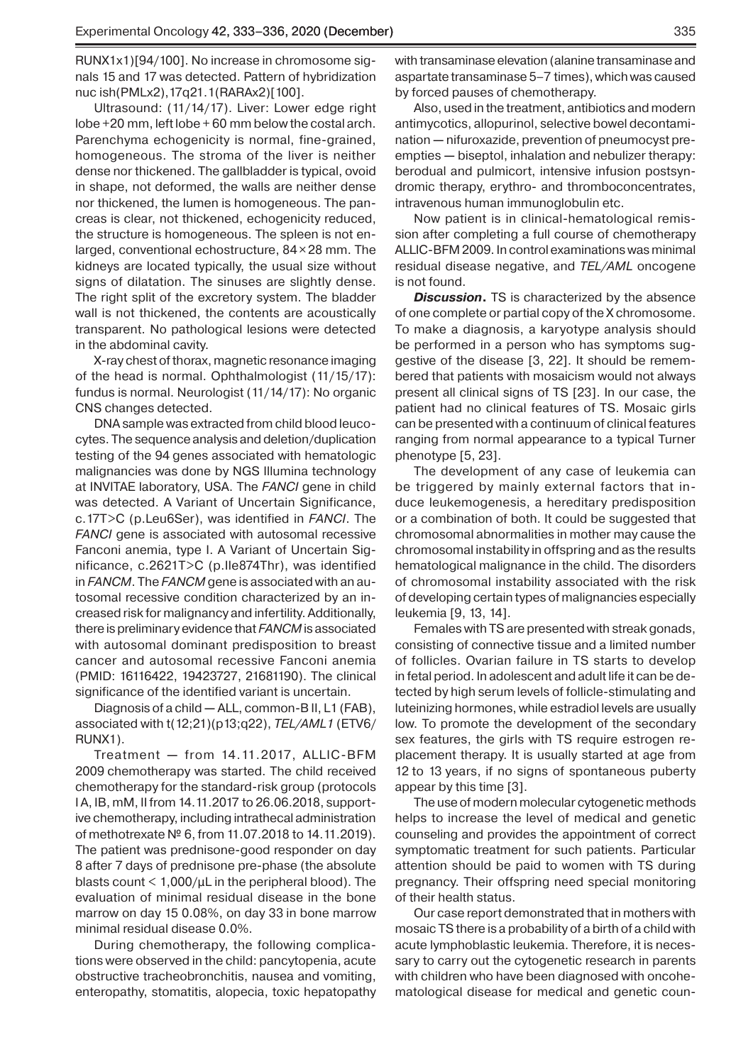RUNX1x1)[94/100]. No increase in chromosome signals 15 and 17 was detected. Pattern of hybridization nuc ish(PMLx2),17q21.1(RARAx2)[100].

Ultrasound: (11/14/17). Liver: Lower edge right lobe +20 mm, left lobe + 60 mm below the costal arch. Parenchyma echogenicity is normal, fine-grained, homogeneous. The stroma of the liver is neither dense nor thickened. The gallbladder is typical, ovoid in shape, not deformed, the walls are neither dense nor thickened, the lumen is homogeneous. The pancreas is clear, not thickened, echogenicity reduced, the structure is homogeneous. The spleen is not enlarged, conventional echostructure, 84 × 28 mm. The kidneys are located typically, the usual size without signs of dilatation. The sinuses are slightly dense. The right split of the excretory system. The bladder wall is not thickened, the contents are acoustically transparent. No pathological lesions were detected in the abdominal cavity.

X-ray chest of thorax, magnetic resonance imaging of the head is normal. Ophthalmologist (11/15/17): fundus is normal. Neurologist (11/14/17): No organic CNS changes detected.

DNA sample was extracted from child blood leucocytes. The sequence analysis and deletion/duplication testing of the 94 genes associated with hematologic malignancies was done by NGS Illumina technology at INVITAE laboratory, USA. The *FANCI* gene in child was detected. A Variant of Uncertain Significance, c.17T>C (p.Leu6Ser), was identified in *FANCI*. The *FANCI* gene is associated with autosomal recessive Fanconi anemia, type I. A Variant of Uncertain Significance, c.2621T>C (p.Ile874Thr), was identified in *FANCM*. The *FANCM* gene is associated with an autosomal recessive condition characterized by an increased risk for malignancy and infertility. Additionally, there is preliminary evidence that *FANCM* is associated with autosomal dominant predisposition to breast cancer and autosomal recessive Fanconi anemia (PMID: 16116422, 19423727, 21681190). The clinical significance of the identified variant is uncertain.

Diagnosis of a child **—** ALL, common-B ІІ, L1 (FAB), associated with t(12;21)(p13;q22), *TEL/AML1* (ETV6/ RUNX1).

Treatment **—** from 14.11.2017, ALLIC-BFM 2009 chemotherapy was started. The child received chemotherapy for the standard-risk group (protocols I A, IB, mM, II from 14.11.2017 to 26.06.2018, supportive chemotherapy, including intrathecal administration of methotrexate № 6, from 11.07.2018 to 14.11.2019). The patient was prednisone-good responder on day 8 after 7 days of prednisone pre-phase (the absolute blasts count  $<$  1,000/ $\mu$ L in the peripheral blood). The evaluation of minimal residual disease in the bone marrow on day 15 0.08%, on day 33 in bone marrow minimal residual disease 0.0%.

During chemotherapy, the following complications were observed in the child: pancytopenia, аcute obstructive tracheobronchitis, nausea and vomiting, enteropathy, stomatitis, alopecia, toxic hepatopathy with transaminase elevation (alanine transaminase and aspartate transaminase 5–7 times), which was caused by forced pauses of chemotherapy.

Also, used in the treatment, antibiotics and modern antimycotics, allopurinol, selective bowel decontamination **—** nifuroxazide, prevention of pneumocyst preempties **—** biseptol, inhalation and nebulizer therapy: berodual and pulmicort, intensive infusion postsyndromic therapy, erythro- and thromboconcentrates, intravenous human immunoglobulin etc.

Now patient is in clinical-hematological remission after completing a full course of chemotherapy ALLIC-BFM 2009. In control examinations was minimal residual disease negative, and *TEL/AML* oncogene is not found.

*Discussion***.** TS is characterized by the absence of one complete or partial copy of the X chromosome. To make a diagnosis, a karyotype analysis should be performed in a person who has symptoms suggestive of the disease [3, 22]. It should be remem bered that patients with mosaicism would not always present all clinical signs of TS [23]. In our case, the patient had no clinical features of TS. Mosaic girls can be presented with a continuum of clinical features ranging from normal appearance to a typical Turner phenotype [5, 23].

The development of any case of leukemia can be triggered by mainly external factors that induce leukemogenesis, a hereditary predisposition or a combination of both. It could be suggested that chromosomal abnormalities in mother may cause the chromosomal instability in offspring and as the results hematological malignance in the child. The disorders of chromosomal instability associated with the risk of developing certain types of malignancies especially leukemia [9, 13, 14].

Females with TS are presented with streak gonads, consisting of connective tissue and a limited number of follicles. Ovarian failure in TS starts to develop in fetal period. In adolescent and adult life it can be detected by high serum levels of follicle-stimulating and luteinizing hormones, while estradiol levels are usually low. To promote the development of the secondary sex features, the girls with TS require estrogen replacement therapy. It is usually started at age from 12 to 13 years, if no signs of spontaneous puberty appear by this time [3].

The use of modern molecular cytogenetic methods helps to increase the level of medical and genetic counseling and provides the appointment of correct symptomatic treatment for such patients. Particular attention should be paid to women with TS during pregnancy. Their offspring need special monitoring of their health status.

Our case report demonstrated that in mothers with mosaic TS there is a probability of a birth of a child with acute lymphoblastic leukemia. Therefore, it is necessary to carry out the cytogenetic research in parents with children who have been diagnosed with oncohematological disease for medical and genetic coun-